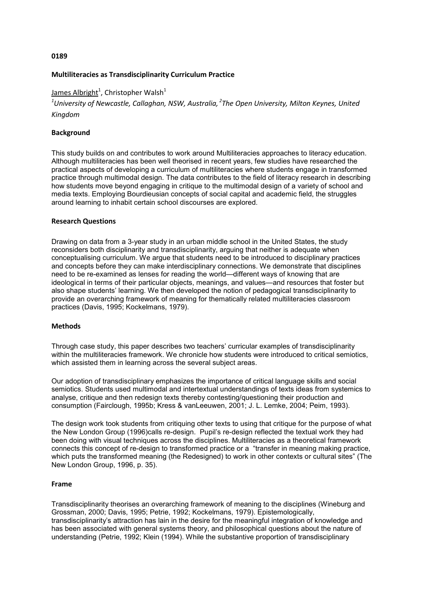### 0189

# Multiliteracies as Transdisciplinarity Curriculum Practice

<u>James Albright</u><sup>1</sup>, Christopher Walsh<sup>1</sup>

<sup>1</sup>University of Newcastle, Callaghan, NSW, Australia, <sup>2</sup>The Open University, Milton Keynes, United Kingdom

# Background

This study builds on and contributes to work around Multiliteracies approaches to literacy education. Although multiliteracies has been well theorised in recent years, few studies have researched the practical aspects of developing a curriculum of multiliteracies where students engage in transformed practice through multimodal design. The data contributes to the field of literacy research in describing how students move beyond engaging in critique to the multimodal design of a variety of school and media texts. Employing Bourdieusian concepts of social capital and academic field, the struggles around learning to inhabit certain school discourses are explored.

### Research Questions

Drawing on data from a 3-year study in an urban middle school in the United States, the study reconsiders both disciplinarity and transdisciplinarity, arguing that neither is adequate when conceptualising curriculum. We argue that students need to be introduced to disciplinary practices and concepts before they can make interdisciplinary connections. We demonstrate that disciplines need to be re-examined as lenses for reading the world—different ways of knowing that are ideological in terms of their particular objects, meanings, and values—and resources that foster but also shape students' learning. We then developed the notion of pedagogical transdisciplinarity to provide an overarching framework of meaning for thematically related multiliteracies classroom practices (Davis, 1995; Kockelmans, 1979).

### Methods

Through case study, this paper describes two teachers' curricular examples of transdisciplinarity within the multiliteracies framework. We chronicle how students were introduced to critical semiotics, which assisted them in learning across the several subject areas.

Our adoption of transdisciplinary emphasizes the importance of critical language skills and social semiotics. Students used multimodal and intertextual understandings of texts ideas from systemics to analyse, critique and then redesign texts thereby contesting/questioning their production and consumption (Fairclough, 1995b; Kress & vanLeeuwen, 2001; J. L. Lemke, 2004; Peim, 1993).

The design work took students from critiquing other texts to using that critique for the purpose of what the New London Group (1996)calls re-design. Pupil's re-design reflected the textual work they had been doing with visual techniques across the disciplines. Multiliteracies as a theoretical framework connects this concept of re-design to transformed practice or a "transfer in meaning making practice, which puts the transformed meaning (the Redesigned) to work in other contexts or cultural sites" (The New London Group, 1996, p. 35).

### Frame

Transdisciplinarity theorises an overarching framework of meaning to the disciplines (Wineburg and Grossman, 2000; Davis, 1995; Petrie, 1992; Kockelmans, 1979). Epistemologically, transdisciplinarity's attraction has lain in the desire for the meaningful integration of knowledge and has been associated with general systems theory, and philosophical questions about the nature of understanding (Petrie, 1992; Klein (1994). While the substantive proportion of transdisciplinary